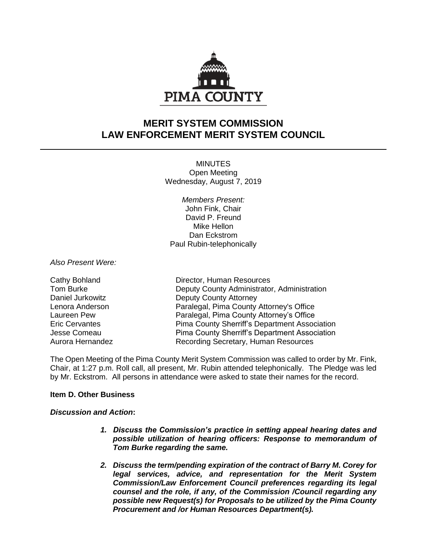

# **MERIT SYSTEM COMMISSION LAW ENFORCEMENT MERIT SYSTEM COUNCIL**

**MINUTES** Open Meeting Wednesday, August 7, 2019

*Members Present:* John Fink, Chair David P. Freund Mike Hellon Dan Eckstrom Paul Rubin-telephonically

*Also Present Were:*

Cathy Bohland Director, Human Resources Tom Burke **Deputy County Administrator, Administration** Daniel Jurkowitz **Deputy County Attorney** Lenora Anderson Paralegal, Pima County Attorney's Office Laureen Pew Paralegal, Pima County Attorney's Office Eric Cervantes Pima County Sherriff's Department Association Jesse Comeau Pima County Sherriff's Department Association Aurora Hernandez Recording Secretary, Human Resources

The Open Meeting of the Pima County Merit System Commission was called to order by Mr. Fink, Chair, at 1:27 p.m. Roll call, all present, Mr. Rubin attended telephonically. The Pledge was led by Mr. Eckstrom. All persons in attendance were asked to state their names for the record.

# **Item D. Other Business**

# *Discussion and Action***:**

- *1. Discuss the Commission's practice in setting appeal hearing dates and possible utilization of hearing officers: Response to memorandum of Tom Burke regarding the same.*
- *2. Discuss the term/pending expiration of the contract of Barry M. Corey for legal services, advice, and representation for the Merit System Commission/Law Enforcement Council preferences regarding its legal counsel and the role, if any, of the Commission /Council regarding any possible new Request(s) for Proposals to be utilized by the Pima County Procurement and /or Human Resources Department(s).*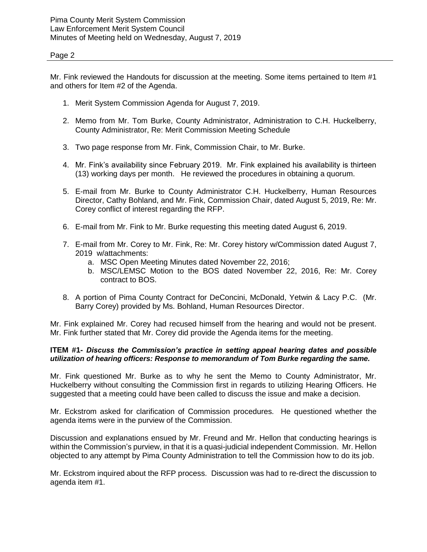## Page 2

Mr. Fink reviewed the Handouts for discussion at the meeting. Some items pertained to Item #1 and others for Item #2 of the Agenda.

- 1. Merit System Commission Agenda for August 7, 2019.
- 2. Memo from Mr. Tom Burke, County Administrator, Administration to C.H. Huckelberry, County Administrator, Re: Merit Commission Meeting Schedule
- 3. Two page response from Mr. Fink, Commission Chair, to Mr. Burke.
- 4. Mr. Fink's availability since February 2019. Mr. Fink explained his availability is thirteen (13) working days per month. He reviewed the procedures in obtaining a quorum.
- 5. E-mail from Mr. Burke to County Administrator C.H. Huckelberry, Human Resources Director, Cathy Bohland, and Mr. Fink, Commission Chair, dated August 5, 2019, Re: Mr. Corey conflict of interest regarding the RFP.
- 6. E-mail from Mr. Fink to Mr. Burke requesting this meeting dated August 6, 2019.
- 7. E-mail from Mr. Corey to Mr. Fink, Re: Mr. Corey history w/Commission dated August 7, 2019 w/attachments:
	- a. MSC Open Meeting Minutes dated November 22, 2016;
	- b. MSC/LEMSC Motion to the BOS dated November 22, 2016, Re: Mr. Corey contract to BOS.
- 8. A portion of Pima County Contract for DeConcini, McDonald, Yetwin & Lacy P.C. (Mr. Barry Corey) provided by Ms. Bohland, Human Resources Director.

Mr. Fink explained Mr. Corey had recused himself from the hearing and would not be present. Mr. Fink further stated that Mr. Corey did provide the Agenda items for the meeting.

# **ITEM #1-** *Discuss the Commission's practice in setting appeal hearing dates and possible utilization of hearing officers: Response to memorandum of Tom Burke regarding the same.*

Mr. Fink questioned Mr. Burke as to why he sent the Memo to County Administrator, Mr. Huckelberry without consulting the Commission first in regards to utilizing Hearing Officers. He suggested that a meeting could have been called to discuss the issue and make a decision.

Mr. Eckstrom asked for clarification of Commission procedures. He questioned whether the agenda items were in the purview of the Commission.

Discussion and explanations ensued by Mr. Freund and Mr. Hellon that conducting hearings is within the Commission's purview, in that it is a quasi-judicial independent Commission. Mr. Hellon objected to any attempt by Pima County Administration to tell the Commission how to do its job.

Mr. Eckstrom inquired about the RFP process. Discussion was had to re-direct the discussion to agenda item #1.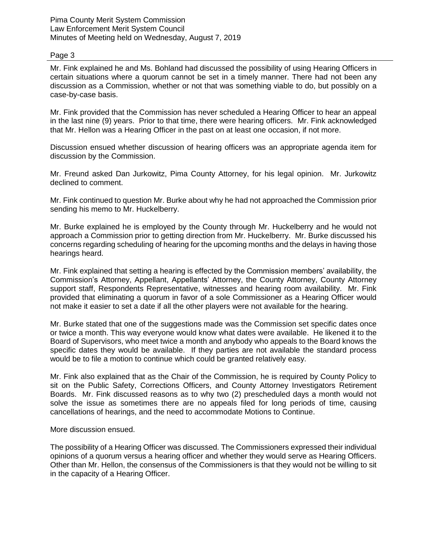Pima County Merit System Commission Law Enforcement Merit System Council Minutes of Meeting held on Wednesday, August 7, 2019

#### Page 3

Mr. Fink explained he and Ms. Bohland had discussed the possibility of using Hearing Officers in certain situations where a quorum cannot be set in a timely manner. There had not been any discussion as a Commission, whether or not that was something viable to do, but possibly on a case-by-case basis.

Mr. Fink provided that the Commission has never scheduled a Hearing Officer to hear an appeal in the last nine (9) years. Prior to that time, there were hearing officers. Mr. Fink acknowledged that Mr. Hellon was a Hearing Officer in the past on at least one occasion, if not more.

Discussion ensued whether discussion of hearing officers was an appropriate agenda item for discussion by the Commission.

Mr. Freund asked Dan Jurkowitz, Pima County Attorney, for his legal opinion. Mr. Jurkowitz declined to comment.

Mr. Fink continued to question Mr. Burke about why he had not approached the Commission prior sending his memo to Mr. Huckelberry.

Mr. Burke explained he is employed by the County through Mr. Huckelberry and he would not approach a Commission prior to getting direction from Mr. Huckelberry. Mr. Burke discussed his concerns regarding scheduling of hearing for the upcoming months and the delays in having those hearings heard.

Mr. Fink explained that setting a hearing is effected by the Commission members' availability, the Commission's Attorney, Appellant, Appellants' Attorney, the County Attorney, County Attorney support staff, Respondents Representative, witnesses and hearing room availability. Mr. Fink provided that eliminating a quorum in favor of a sole Commissioner as a Hearing Officer would not make it easier to set a date if all the other players were not available for the hearing.

Mr. Burke stated that one of the suggestions made was the Commission set specific dates once or twice a month. This way everyone would know what dates were available. He likened it to the Board of Supervisors, who meet twice a month and anybody who appeals to the Board knows the specific dates they would be available. If they parties are not available the standard process would be to file a motion to continue which could be granted relatively easy.

Mr. Fink also explained that as the Chair of the Commission, he is required by County Policy to sit on the Public Safety, Corrections Officers, and County Attorney Investigators Retirement Boards. Mr. Fink discussed reasons as to why two (2) prescheduled days a month would not solve the issue as sometimes there are no appeals filed for long periods of time, causing cancellations of hearings, and the need to accommodate Motions to Continue.

More discussion ensued.

The possibility of a Hearing Officer was discussed. The Commissioners expressed their individual opinions of a quorum versus a hearing officer and whether they would serve as Hearing Officers. Other than Mr. Hellon, the consensus of the Commissioners is that they would not be willing to sit in the capacity of a Hearing Officer.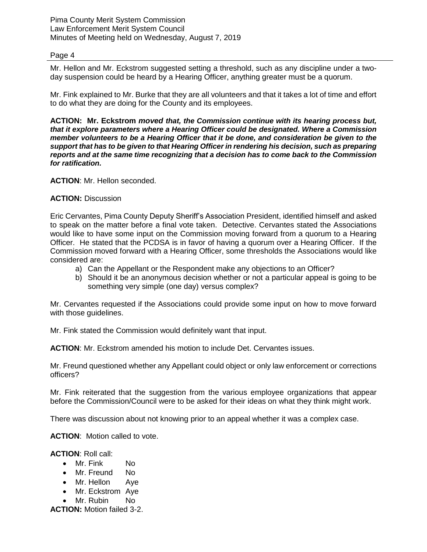Pima County Merit System Commission Law Enforcement Merit System Council Minutes of Meeting held on Wednesday, August 7, 2019

#### Page 4

Mr. Hellon and Mr. Eckstrom suggested setting a threshold, such as any discipline under a twoday suspension could be heard by a Hearing Officer, anything greater must be a quorum.

Mr. Fink explained to Mr. Burke that they are all volunteers and that it takes a lot of time and effort to do what they are doing for the County and its employees.

**ACTION: Mr. Eckstrom** *moved that, the Commission continue with its hearing process but, that it explore parameters where a Hearing Officer could be designated. Where a Commission member volunteers to be a Hearing Officer that it be done, and consideration be given to the support that has to be given to that Hearing Officer in rendering his decision, such as preparing reports and at the same time recognizing that a decision has to come back to the Commission for ratification.*

**ACTION**: Mr. Hellon seconded.

### **ACTION:** Discussion

Eric Cervantes, Pima County Deputy Sheriff's Association President, identified himself and asked to speak on the matter before a final vote taken. Detective. Cervantes stated the Associations would like to have some input on the Commission moving forward from a quorum to a Hearing Officer. He stated that the PCDSA is in favor of having a quorum over a Hearing Officer. If the Commission moved forward with a Hearing Officer, some thresholds the Associations would like considered are:

- a) Can the Appellant or the Respondent make any objections to an Officer?
- b) Should it be an anonymous decision whether or not a particular appeal is going to be something very simple (one day) versus complex?

Mr. Cervantes requested if the Associations could provide some input on how to move forward with those guidelines.

Mr. Fink stated the Commission would definitely want that input.

**ACTION**: Mr. Eckstrom amended his motion to include Det. Cervantes issues.

Mr. Freund questioned whether any Appellant could object or only law enforcement or corrections officers?

Mr. Fink reiterated that the suggestion from the various employee organizations that appear before the Commission/Council were to be asked for their ideas on what they think might work.

There was discussion about not knowing prior to an appeal whether it was a complex case.

**ACTION**: Motion called to vote.

**ACTION**: Roll call:

- Mr. Fink No
- Mr. Freund No
- Mr. Hellon Ave
- Mr. Eckstrom Aye
- Mr. Rubin No

**ACTION:** Motion failed 3-2.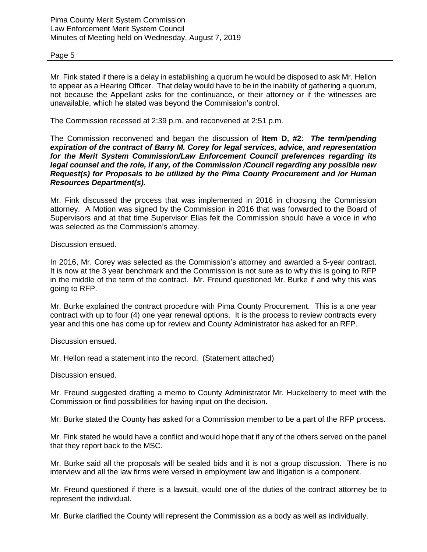## Page 5

Mr. Fink stated if there is a delay in establishing a quorum he would be disposed to ask Mr. Hellon to appear as a Hearing Officer. That delay would have to be in the inability of gathering a quorum, not because the Appellant asks for the continuance, or their attorney or if the witnesses are unavailable, which he stated was beyond the Commission's control.

The Commission recessed at 2:39 p.m. and reconvened at 2:51 p.m.

The Commission reconvened and began the discussion of **Item D, #2**: *The term/pending expiration of the contract of Barry M. Corey for legal services, advice, and representation for the Merit System Commission/Law Enforcement Council preferences regarding its legal counsel and the role, if any, of the Commission /Council regarding any possible new Request(s) for Proposals to be utilized by the Pima County Procurement and /or Human Resources Department(s).*

Mr. Fink discussed the process that was implemented in 2016 in choosing the Commission attorney. A Motion was signed by the Commission in 2016 that was forwarded to the Board of Supervisors and at that time Supervisor Elias felt the Commission should have a voice in who was selected as the Commission's attorney.

Discussion ensued.

In 2016, Mr. Corey was selected as the Commission's attorney and awarded a 5-year contract. It is now at the 3 year benchmark and the Commission is not sure as to why this is going to RFP in the middle of the term of the contract. Mr. Freund questioned Mr. Burke if and why this was going to RFP.

Mr. Burke explained the contract procedure with Pima County Procurement. This is a one year contract with up to four (4) one year renewal options. It is the process to review contracts every year and this one has come up for review and County Administrator has asked for an RFP.

Discussion ensued.

Mr. Hellon read a statement into the record. (Statement attached)

Discussion ensued.

Mr. Freund suggested drafting a memo to County Administrator Mr. Huckelberry to meet with the Commission or find possibilities for having input on the decision.

Mr. Burke stated the County has asked for a Commission member to be a part of the RFP process.

Mr. Fink stated he would have a conflict and would hope that if any of the others served on the panel that they report back to the MSC.

Mr. Burke said all the proposals will be sealed bids and it is not a group discussion. There is no interview and all the law firms were versed in employment law and litigation is a component.

Mr. Freund questioned if there is a lawsuit, would one of the duties of the contract attorney be to represent the individual.

Mr. Burke clarified the County will represent the Commission as a body as well as individually.